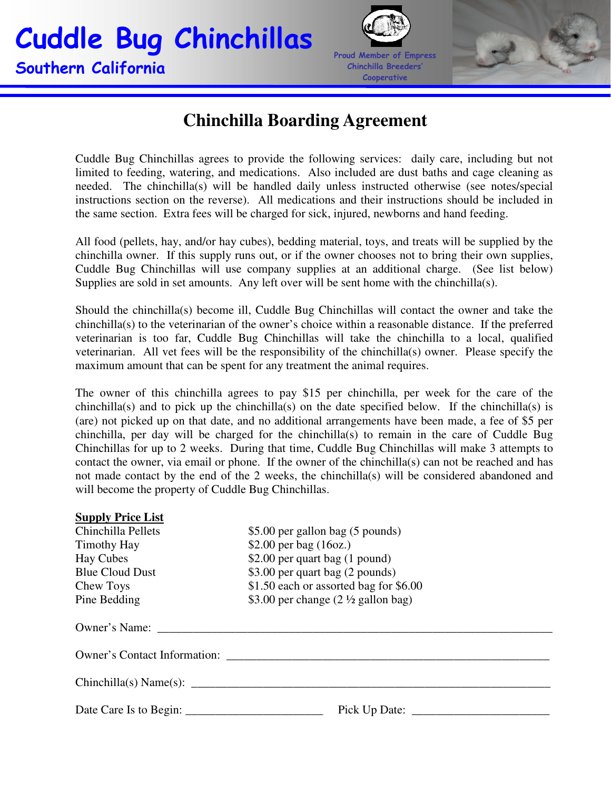## Cuddle Bug Chinchillas Southern California





## **Chinchilla Boarding Agreement**

Cuddle Bug Chinchillas agrees to provide the following services: daily care, including but not limited to feeding, watering, and medications. Also included are dust baths and cage cleaning as needed. The chinchilla(s) will be handled daily unless instructed otherwise (see notes/special instructions section on the reverse). All medications and their instructions should be included in the same section. Extra fees will be charged for sick, injured, newborns and hand feeding.

All food (pellets, hay, and/or hay cubes), bedding material, toys, and treats will be supplied by the chinchilla owner. If this supply runs out, or if the owner chooses not to bring their own supplies, Cuddle Bug Chinchillas will use company supplies at an additional charge. (See list below) Supplies are sold in set amounts. Any left over will be sent home with the chinchilla(s).

Should the chinchilla(s) become ill, Cuddle Bug Chinchillas will contact the owner and take the chinchilla(s) to the veterinarian of the owner's choice within a reasonable distance. If the preferred veterinarian is too far, Cuddle Bug Chinchillas will take the chinchilla to a local, qualified veterinarian. All vet fees will be the responsibility of the chinchilla(s) owner. Please specify the maximum amount that can be spent for any treatment the animal requires.

The owner of this chinchilla agrees to pay \$15 per chinchilla, per week for the care of the chinchilla(s) and to pick up the chinchilla(s) on the date specified below. If the chinchilla(s) is (are) not picked up on that date, and no additional arrangements have been made, a fee of \$5 per chinchilla, per day will be charged for the chinchilla(s) to remain in the care of Cuddle Bug Chinchillas for up to 2 weeks. During that time, Cuddle Bug Chinchillas will make 3 attempts to contact the owner, via email or phone. If the owner of the chinchilla(s) can not be reached and has not made contact by the end of the 2 weeks, the chinchilla(s) will be considered abandoned and will become the property of Cuddle Bug Chinchillas.

| <b>Supply Price List</b> |                                                 |  |  |  |
|--------------------------|-------------------------------------------------|--|--|--|
| Chinchilla Pellets       | \$5.00 per gallon bag (5 pounds)                |  |  |  |
| Timothy Hay              | \$2.00 per bag $(16oz.)$                        |  |  |  |
| Hay Cubes                | \$2.00 per quart bag (1 pound)                  |  |  |  |
| <b>Blue Cloud Dust</b>   | \$3.00 per quart bag (2 pounds)                 |  |  |  |
| Chew Toys                | \$1.50 each or assorted bag for \$6.00          |  |  |  |
| Pine Bedding             | \$3.00 per change $(2 \frac{1}{2})$ gallon bag) |  |  |  |
|                          |                                                 |  |  |  |
|                          | Owner's Contact Information:                    |  |  |  |
|                          | Chinchilla(s) Name(s):                          |  |  |  |
| Date Care Is to Begin:   |                                                 |  |  |  |